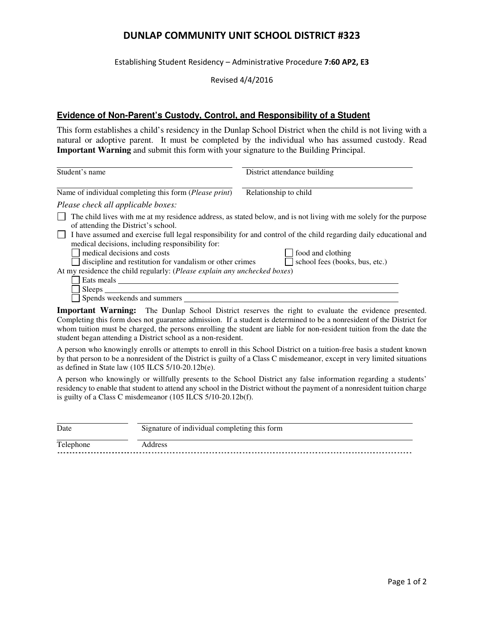## **DUNLAP COMMUNITY UNIT SCHOOL DISTRICT #323**

Establishing Student Residency – Administrative Procedure **7:60 AP2, E3**

Revised 4/4/2016

## **Evidence of Non-Parent's Custody, Control, and Responsibility of a Student**

This form establishes a child's residency in the Dunlap School District when the child is not living with a natural or adoptive parent. It must be completed by the individual who has assumed custody. Read **Important Warning** and submit this form with your signature to the Building Principal.

| Student's name                                                                                                                                                                                                                                                             | District attendance building                                                                                       |
|----------------------------------------------------------------------------------------------------------------------------------------------------------------------------------------------------------------------------------------------------------------------------|--------------------------------------------------------------------------------------------------------------------|
| Name of individual completing this form ( <i>Please print</i> )                                                                                                                                                                                                            | Relationship to child                                                                                              |
| Please check all applicable boxes:                                                                                                                                                                                                                                         |                                                                                                                    |
| of attending the District's school.                                                                                                                                                                                                                                        | The child lives with me at my residence address, as stated below, and is not living with me solely for the purpose |
|                                                                                                                                                                                                                                                                            | I have assumed and exercise full legal responsibility for and control of the child regarding daily educational and |
| medical decisions, including responsibility for:                                                                                                                                                                                                                           |                                                                                                                    |
| medical decisions and costs                                                                                                                                                                                                                                                | food and clothing                                                                                                  |
| discipline and restitution for vandalism or other crimes                                                                                                                                                                                                                   | school fees (books, bus, etc.)                                                                                     |
| At my residence the child regularly: ( <i>Please explain any unchecked boxes</i> )                                                                                                                                                                                         |                                                                                                                    |
| Eats meals                                                                                                                                                                                                                                                                 |                                                                                                                    |
| Sleeps                                                                                                                                                                                                                                                                     |                                                                                                                    |
| Spends weekends and summers                                                                                                                                                                                                                                                |                                                                                                                    |
| <b>I</b> a second the second of $\mathbf{H}$ is the $\mathbf{H}$ in $\mathbf{H}$ in $\mathbf{H}$ is the $\mathbf{H}$ in $\mathbf{H}$ is the second of $\mathbf{H}$ is the second of $\mathbf{H}$ is the second of $\mathbf{H}$ is the second of $\mathbf{H}$ is the second |                                                                                                                    |

**Important Warning:** The Dunlap School District reserves the right to evaluate the evidence presented. Completing this form does not guarantee admission. If a student is determined to be a nonresident of the District for whom tuition must be charged, the persons enrolling the student are liable for non-resident tuition from the date the student began attending a District school as a non-resident.

A person who knowingly enrolls or attempts to enroll in this School District on a tuition-free basis a student known by that person to be a nonresident of the District is guilty of a Class C misdemeanor, except in very limited situations as defined in State law (105 ILCS 5/10-20.12b(e).

A person who knowingly or willfully presents to the School District any false information regarding a students' residency to enable that student to attend any school in the District without the payment of a nonresident tuition charge is guilty of a Class C misdemeanor (105 ILCS 5/10-20.12b(f).

| Date      | Signature of individual completing this form |  |
|-----------|----------------------------------------------|--|
| Telephone | Address                                      |  |